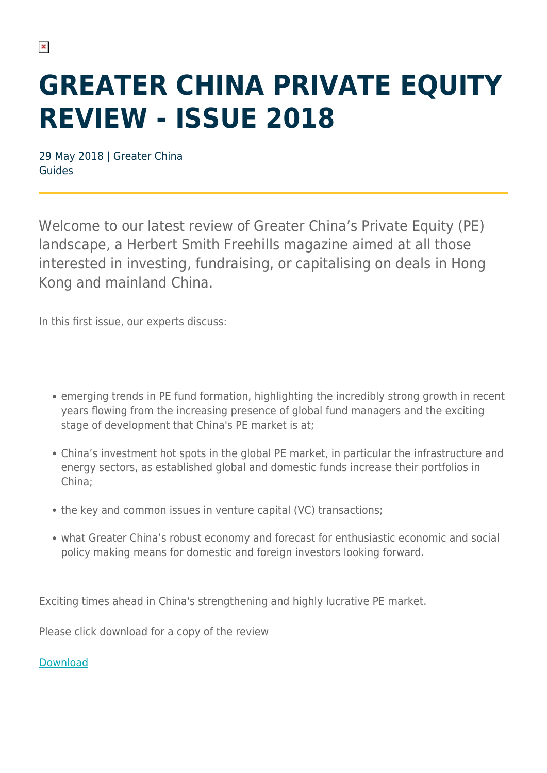## **GREATER CHINA PRIVATE EQUITY REVIEW - ISSUE 2018**

29 May 2018 | Greater China Guides

Welcome to our latest review of Greater China's Private Equity (PE) landscape, a Herbert Smith Freehills magazine aimed at all those interested in investing, fundraising, or capitalising on deals in Hong Kong and mainland China.

In this first issue, our experts discuss:

- emerging trends in PE fund formation, highlighting the incredibly strong growth in recent years flowing from the increasing presence of global fund managers and the exciting stage of development that China's PE market is at;
- China's investment hot spots in the global PE market, in particular the infrastructure and energy sectors, as established global and domestic funds increase their portfolios in China;
- the key and common issues in venture capital (VC) transactions;
- what Greater China's robust economy and forecast for enthusiastic economic and social policy making means for domestic and foreign investors looking forward.

Exciting times ahead in China's strengthening and highly lucrative PE market.

Please click download for a copy of the review

## [Download](https://www.herbertsmithfreehills.com/file/26146/download?token=7a26zhaj)